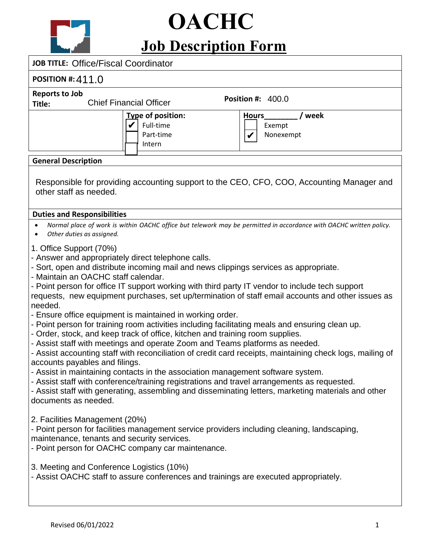

# **OACHC**

## **Job Description Form**

| JOD DESCription Form                                                                                                                                                                                                                                                                                                                                                                                                                                                                                                                                                                                                                                                                                                                                                                                                                                                                                                                                                                                                                                                                                                                                                                                                              |  |                                                            |  |              |                               |  |  |
|-----------------------------------------------------------------------------------------------------------------------------------------------------------------------------------------------------------------------------------------------------------------------------------------------------------------------------------------------------------------------------------------------------------------------------------------------------------------------------------------------------------------------------------------------------------------------------------------------------------------------------------------------------------------------------------------------------------------------------------------------------------------------------------------------------------------------------------------------------------------------------------------------------------------------------------------------------------------------------------------------------------------------------------------------------------------------------------------------------------------------------------------------------------------------------------------------------------------------------------|--|------------------------------------------------------------|--|--------------|-------------------------------|--|--|
| <b>JOB TITLE: Office/Fiscal Coordinator</b>                                                                                                                                                                                                                                                                                                                                                                                                                                                                                                                                                                                                                                                                                                                                                                                                                                                                                                                                                                                                                                                                                                                                                                                       |  |                                                            |  |              |                               |  |  |
| <b>POSITION #: 411.0</b>                                                                                                                                                                                                                                                                                                                                                                                                                                                                                                                                                                                                                                                                                                                                                                                                                                                                                                                                                                                                                                                                                                                                                                                                          |  |                                                            |  |              |                               |  |  |
| <b>Reports to Job</b><br>Title:                                                                                                                                                                                                                                                                                                                                                                                                                                                                                                                                                                                                                                                                                                                                                                                                                                                                                                                                                                                                                                                                                                                                                                                                   |  | <b>Position #: 400.0</b><br><b>Chief Financial Officer</b> |  |              |                               |  |  |
|                                                                                                                                                                                                                                                                                                                                                                                                                                                                                                                                                                                                                                                                                                                                                                                                                                                                                                                                                                                                                                                                                                                                                                                                                                   |  | Type of position:<br>Full-time<br>Part-time<br>Intern      |  | <b>Hours</b> | / week<br>Exempt<br>Nonexempt |  |  |
| <b>General Description</b>                                                                                                                                                                                                                                                                                                                                                                                                                                                                                                                                                                                                                                                                                                                                                                                                                                                                                                                                                                                                                                                                                                                                                                                                        |  |                                                            |  |              |                               |  |  |
| Responsible for providing accounting support to the CEO, CFO, COO, Accounting Manager and<br>other staff as needed.                                                                                                                                                                                                                                                                                                                                                                                                                                                                                                                                                                                                                                                                                                                                                                                                                                                                                                                                                                                                                                                                                                               |  |                                                            |  |              |                               |  |  |
| <b>Duties and Responsibilities</b>                                                                                                                                                                                                                                                                                                                                                                                                                                                                                                                                                                                                                                                                                                                                                                                                                                                                                                                                                                                                                                                                                                                                                                                                |  |                                                            |  |              |                               |  |  |
| Normal place of work is within OACHC office but telework may be permitted in accordance with OACHC written policy.<br>Other duties as assigned.                                                                                                                                                                                                                                                                                                                                                                                                                                                                                                                                                                                                                                                                                                                                                                                                                                                                                                                                                                                                                                                                                   |  |                                                            |  |              |                               |  |  |
| 1. Office Support (70%)<br>- Answer and appropriately direct telephone calls.<br>- Sort, open and distribute incoming mail and news clippings services as appropriate.<br>- Maintain an OACHC staff calendar.<br>- Point person for office IT support working with third party IT vendor to include tech support<br>requests, new equipment purchases, set up/termination of staff email accounts and other issues as<br>needed.<br>- Ensure office equipment is maintained in working order.<br>- Point person for training room activities including facilitating meals and ensuring clean up.<br>- Order, stock, and keep track of office, kitchen and training room supplies.<br>- Assist staff with meetings and operate Zoom and Teams platforms as needed.<br>- Assist accounting staff with reconciliation of credit card receipts, maintaining check logs, mailing of<br>accounts payables and filings.<br>- Assist in maintaining contacts in the association management software system.<br>- Assist staff with conference/training registrations and travel arrangements as requested.<br>- Assist staff with generating, assembling and disseminating letters, marketing materials and other<br>documents as needed. |  |                                                            |  |              |                               |  |  |
| 2. Facilities Management (20%)<br>- Point person for facilities management service providers including cleaning, landscaping,<br>maintenance, tenants and security services.<br>- Point person for OACHC company car maintenance.                                                                                                                                                                                                                                                                                                                                                                                                                                                                                                                                                                                                                                                                                                                                                                                                                                                                                                                                                                                                 |  |                                                            |  |              |                               |  |  |
| 3. Meeting and Conference Logistics (10%)<br>- Assist OACHC staff to assure conferences and trainings are executed appropriately.                                                                                                                                                                                                                                                                                                                                                                                                                                                                                                                                                                                                                                                                                                                                                                                                                                                                                                                                                                                                                                                                                                 |  |                                                            |  |              |                               |  |  |
|                                                                                                                                                                                                                                                                                                                                                                                                                                                                                                                                                                                                                                                                                                                                                                                                                                                                                                                                                                                                                                                                                                                                                                                                                                   |  |                                                            |  |              |                               |  |  |